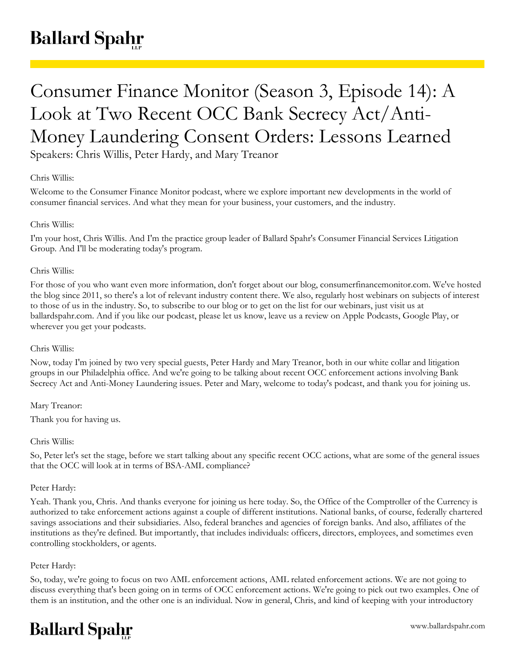# Consumer Finance Monitor (Season 3, Episode 14): A Look at Two Recent OCC Bank Secrecy Act/Anti-Money Laundering Consent Orders: Lessons Learned

Speakers: Chris Willis, Peter Hardy, and Mary Treanor

## Chris Willis:

Welcome to the Consumer Finance Monitor podcast, where we explore important new developments in the world of consumer financial services. And what they mean for your business, your customers, and the industry.

## Chris Willis:

I'm your host, Chris Willis. And I'm the practice group leader of Ballard Spahr's Consumer Financial Services Litigation Group. And I'll be moderating today's program.

## Chris Willis:

For those of you who want even more information, don't forget about our blog, consumerfinancemonitor.com. We've hosted the blog since 2011, so there's a lot of relevant industry content there. We also, regularly host webinars on subjects of interest to those of us in the industry. So, to subscribe to our blog or to get on the list for our webinars, just visit us at ballardspahr.com. And if you like our podcast, please let us know, leave us a review on Apple Podcasts, Google Play, or wherever you get your podcasts.

## Chris Willis:

Now, today I'm joined by two very special guests, Peter Hardy and Mary Treanor, both in our white collar and litigation groups in our Philadelphia office. And we're going to be talking about recent OCC enforcement actions involving Bank Secrecy Act and Anti-Money Laundering issues. Peter and Mary, welcome to today's podcast, and thank you for joining us.

Mary Treanor:

Thank you for having us.

## Chris Willis:

So, Peter let's set the stage, before we start talking about any specific recent OCC actions, what are some of the general issues that the OCC will look at in terms of BSA-AML compliance?

## Peter Hardy:

Yeah. Thank you, Chris. And thanks everyone for joining us here today. So, the Office of the Comptroller of the Currency is authorized to take enforcement actions against a couple of different institutions. National banks, of course, federally chartered savings associations and their subsidiaries. Also, federal branches and agencies of foreign banks. And also, affiliates of the institutions as they're defined. But importantly, that includes individuals: officers, directors, employees, and sometimes even controlling stockholders, or agents.

## Peter Hardy:

So, today, we're going to focus on two AML enforcement actions, AML related enforcement actions. We are not going to discuss everything that's been going on in terms of OCC enforcement actions. We're going to pick out two examples. One of them is an institution, and the other one is an individual. Now in general, Chris, and kind of keeping with your introductory

## **Ballard Spahr**

www.ballardspahr.com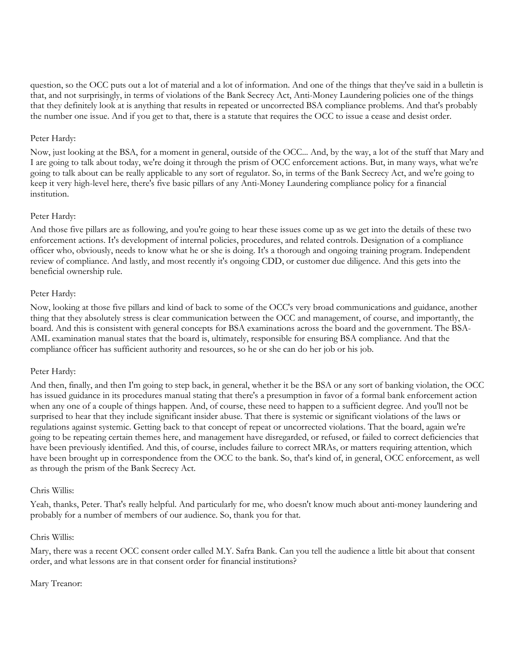question, so the OCC puts out a lot of material and a lot of information. And one of the things that they've said in a bulletin is that, and not surprisingly, in terms of violations of the Bank Secrecy Act, Anti-Money Laundering policies one of the things that they definitely look at is anything that results in repeated or uncorrected BSA compliance problems. And that's probably the number one issue. And if you get to that, there is a statute that requires the OCC to issue a cease and desist order.

#### Peter Hardy:

Now, just looking at the BSA, for a moment in general, outside of the OCC... And, by the way, a lot of the stuff that Mary and I are going to talk about today, we're doing it through the prism of OCC enforcement actions. But, in many ways, what we're going to talk about can be really applicable to any sort of regulator. So, in terms of the Bank Secrecy Act, and we're going to keep it very high-level here, there's five basic pillars of any Anti-Money Laundering compliance policy for a financial institution.

#### Peter Hardy:

And those five pillars are as following, and you're going to hear these issues come up as we get into the details of these two enforcement actions. It's development of internal policies, procedures, and related controls. Designation of a compliance officer who, obviously, needs to know what he or she is doing. It's a thorough and ongoing training program. Independent review of compliance. And lastly, and most recently it's ongoing CDD, or customer due diligence. And this gets into the beneficial ownership rule.

#### Peter Hardy:

Now, looking at those five pillars and kind of back to some of the OCC's very broad communications and guidance, another thing that they absolutely stress is clear communication between the OCC and management, of course, and importantly, the board. And this is consistent with general concepts for BSA examinations across the board and the government. The BSA-AML examination manual states that the board is, ultimately, responsible for ensuring BSA compliance. And that the compliance officer has sufficient authority and resources, so he or she can do her job or his job.

#### Peter Hardy:

And then, finally, and then I'm going to step back, in general, whether it be the BSA or any sort of banking violation, the OCC has issued guidance in its procedures manual stating that there's a presumption in favor of a formal bank enforcement action when any one of a couple of things happen. And, of course, these need to happen to a sufficient degree. And you'll not be surprised to hear that they include significant insider abuse. That there is systemic or significant violations of the laws or regulations against systemic. Getting back to that concept of repeat or uncorrected violations. That the board, again we're going to be repeating certain themes here, and management have disregarded, or refused, or failed to correct deficiencies that have been previously identified. And this, of course, includes failure to correct MRAs, or matters requiring attention, which have been brought up in correspondence from the OCC to the bank. So, that's kind of, in general, OCC enforcement, as well as through the prism of the Bank Secrecy Act.

#### Chris Willis:

Yeah, thanks, Peter. That's really helpful. And particularly for me, who doesn't know much about anti-money laundering and probably for a number of members of our audience. So, thank you for that.

#### Chris Willis:

Mary, there was a recent OCC consent order called M.Y. Safra Bank. Can you tell the audience a little bit about that consent order, and what lessons are in that consent order for financial institutions?

#### Mary Treanor: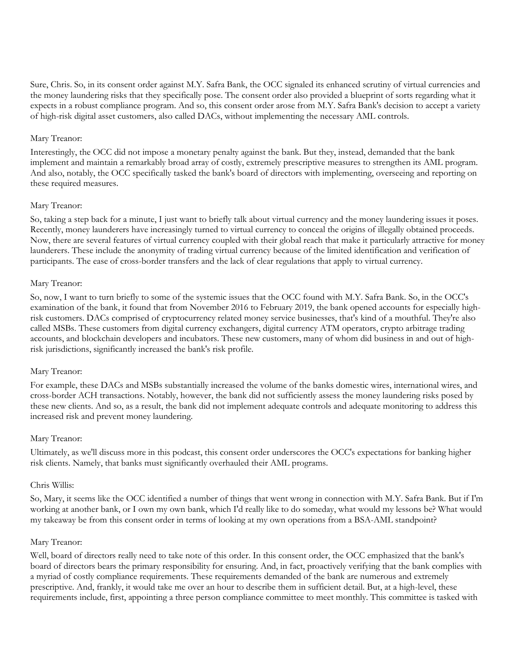Sure, Chris. So, in its consent order against M.Y. Safra Bank, the OCC signaled its enhanced scrutiny of virtual currencies and the money laundering risks that they specifically pose. The consent order also provided a blueprint of sorts regarding what it expects in a robust compliance program. And so, this consent order arose from M.Y. Safra Bank's decision to accept a variety of high-risk digital asset customers, also called DACs, without implementing the necessary AML controls.

#### Mary Treanor:

Interestingly, the OCC did not impose a monetary penalty against the bank. But they, instead, demanded that the bank implement and maintain a remarkably broad array of costly, extremely prescriptive measures to strengthen its AML program. And also, notably, the OCC specifically tasked the bank's board of directors with implementing, overseeing and reporting on these required measures.

#### Mary Treanor:

So, taking a step back for a minute, I just want to briefly talk about virtual currency and the money laundering issues it poses. Recently, money launderers have increasingly turned to virtual currency to conceal the origins of illegally obtained proceeds. Now, there are several features of virtual currency coupled with their global reach that make it particularly attractive for money launderers. These include the anonymity of trading virtual currency because of the limited identification and verification of participants. The ease of cross-border transfers and the lack of clear regulations that apply to virtual currency.

#### Mary Treanor:

So, now, I want to turn briefly to some of the systemic issues that the OCC found with M.Y. Safra Bank. So, in the OCC's examination of the bank, it found that from November 2016 to February 2019, the bank opened accounts for especially highrisk customers. DACs comprised of cryptocurrency related money service businesses, that's kind of a mouthful. They're also called MSBs. These customers from digital currency exchangers, digital currency ATM operators, crypto arbitrage trading accounts, and blockchain developers and incubators. These new customers, many of whom did business in and out of highrisk jurisdictions, significantly increased the bank's risk profile.

#### Mary Treanor:

For example, these DACs and MSBs substantially increased the volume of the banks domestic wires, international wires, and cross-border ACH transactions. Notably, however, the bank did not sufficiently assess the money laundering risks posed by these new clients. And so, as a result, the bank did not implement adequate controls and adequate monitoring to address this increased risk and prevent money laundering.

## Mary Treanor:

Ultimately, as we'll discuss more in this podcast, this consent order underscores the OCC's expectations for banking higher risk clients. Namely, that banks must significantly overhauled their AML programs.

#### Chris Willis:

So, Mary, it seems like the OCC identified a number of things that went wrong in connection with M.Y. Safra Bank. But if I'm working at another bank, or I own my own bank, which I'd really like to do someday, what would my lessons be? What would my takeaway be from this consent order in terms of looking at my own operations from a BSA-AML standpoint?

#### Mary Treanor:

Well, board of directors really need to take note of this order. In this consent order, the OCC emphasized that the bank's board of directors bears the primary responsibility for ensuring. And, in fact, proactively verifying that the bank complies with a myriad of costly compliance requirements. These requirements demanded of the bank are numerous and extremely prescriptive. And, frankly, it would take me over an hour to describe them in sufficient detail. But, at a high-level, these requirements include, first, appointing a three person compliance committee to meet monthly. This committee is tasked with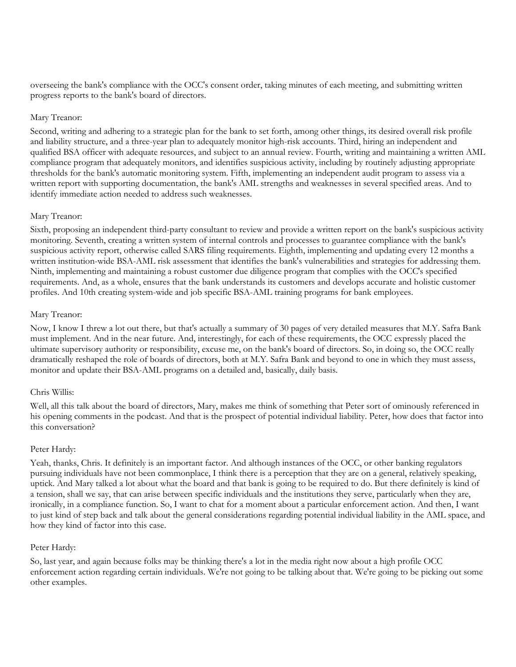overseeing the bank's compliance with the OCC's consent order, taking minutes of each meeting, and submitting written progress reports to the bank's board of directors.

## Mary Treanor:

Second, writing and adhering to a strategic plan for the bank to set forth, among other things, its desired overall risk profile and liability structure, and a three-year plan to adequately monitor high-risk accounts. Third, hiring an independent and qualified BSA officer with adequate resources, and subject to an annual review. Fourth, writing and maintaining a written AML compliance program that adequately monitors, and identifies suspicious activity, including by routinely adjusting appropriate thresholds for the bank's automatic monitoring system. Fifth, implementing an independent audit program to assess via a written report with supporting documentation, the bank's AML strengths and weaknesses in several specified areas. And to identify immediate action needed to address such weaknesses.

#### Mary Treanor:

Sixth, proposing an independent third-party consultant to review and provide a written report on the bank's suspicious activity monitoring. Seventh, creating a written system of internal controls and processes to guarantee compliance with the bank's suspicious activity report, otherwise called SARS filing requirements. Eighth, implementing and updating every 12 months a written institution-wide BSA-AML risk assessment that identifies the bank's vulnerabilities and strategies for addressing them. Ninth, implementing and maintaining a robust customer due diligence program that complies with the OCC's specified requirements. And, as a whole, ensures that the bank understands its customers and develops accurate and holistic customer profiles. And 10th creating system-wide and job specific BSA-AML training programs for bank employees.

#### Mary Treanor:

Now, I know I threw a lot out there, but that's actually a summary of 30 pages of very detailed measures that M.Y. Safra Bank must implement. And in the near future. And, interestingly, for each of these requirements, the OCC expressly placed the ultimate supervisory authority or responsibility, excuse me, on the bank's board of directors. So, in doing so, the OCC really dramatically reshaped the role of boards of directors, both at M.Y. Safra Bank and beyond to one in which they must assess, monitor and update their BSA-AML programs on a detailed and, basically, daily basis.

#### Chris Willis:

Well, all this talk about the board of directors, Mary, makes me think of something that Peter sort of ominously referenced in his opening comments in the podcast. And that is the prospect of potential individual liability. Peter, how does that factor into this conversation?

#### Peter Hardy:

Yeah, thanks, Chris. It definitely is an important factor. And although instances of the OCC, or other banking regulators pursuing individuals have not been commonplace, I think there is a perception that they are on a general, relatively speaking, uptick. And Mary talked a lot about what the board and that bank is going to be required to do. But there definitely is kind of a tension, shall we say, that can arise between specific individuals and the institutions they serve, particularly when they are, ironically, in a compliance function. So, I want to chat for a moment about a particular enforcement action. And then, I want to just kind of step back and talk about the general considerations regarding potential individual liability in the AML space, and how they kind of factor into this case.

#### Peter Hardy:

So, last year, and again because folks may be thinking there's a lot in the media right now about a high profile OCC enforcement action regarding certain individuals. We're not going to be talking about that. We're going to be picking out some other examples.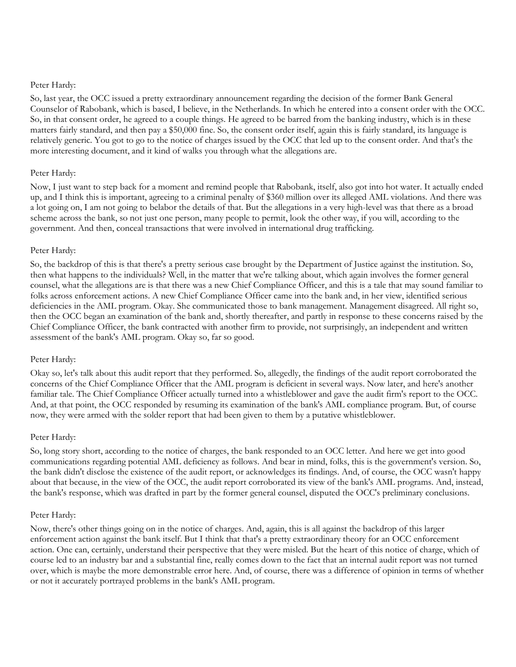#### Peter Hardy:

So, last year, the OCC issued a pretty extraordinary announcement regarding the decision of the former Bank General Counselor of Rabobank, which is based, I believe, in the Netherlands. In which he entered into a consent order with the OCC. So, in that consent order, he agreed to a couple things. He agreed to be barred from the banking industry, which is in these matters fairly standard, and then pay a \$50,000 fine. So, the consent order itself, again this is fairly standard, its language is relatively generic. You got to go to the notice of charges issued by the OCC that led up to the consent order. And that's the more interesting document, and it kind of walks you through what the allegations are.

#### Peter Hardy:

Now, I just want to step back for a moment and remind people that Rabobank, itself, also got into hot water. It actually ended up, and I think this is important, agreeing to a criminal penalty of \$360 million over its alleged AML violations. And there was a lot going on, I am not going to belabor the details of that. But the allegations in a very high-level was that there as a broad scheme across the bank, so not just one person, many people to permit, look the other way, if you will, according to the government. And then, conceal transactions that were involved in international drug trafficking.

#### Peter Hardy:

So, the backdrop of this is that there's a pretty serious case brought by the Department of Justice against the institution. So, then what happens to the individuals? Well, in the matter that we're talking about, which again involves the former general counsel, what the allegations are is that there was a new Chief Compliance Officer, and this is a tale that may sound familiar to folks across enforcement actions. A new Chief Compliance Officer came into the bank and, in her view, identified serious deficiencies in the AML program. Okay. She communicated those to bank management. Management disagreed. All right so, then the OCC began an examination of the bank and, shortly thereafter, and partly in response to these concerns raised by the Chief Compliance Officer, the bank contracted with another firm to provide, not surprisingly, an independent and written assessment of the bank's AML program. Okay so, far so good.

#### Peter Hardy:

Okay so, let's talk about this audit report that they performed. So, allegedly, the findings of the audit report corroborated the concerns of the Chief Compliance Officer that the AML program is deficient in several ways. Now later, and here's another familiar tale. The Chief Compliance Officer actually turned into a whistleblower and gave the audit firm's report to the OCC. And, at that point, the OCC responded by resuming its examination of the bank's AML compliance program. But, of course now, they were armed with the solder report that had been given to them by a putative whistleblower.

#### Peter Hardy:

So, long story short, according to the notice of charges, the bank responded to an OCC letter. And here we get into good communications regarding potential AML deficiency as follows. And bear in mind, folks, this is the government's version. So, the bank didn't disclose the existence of the audit report, or acknowledges its findings. And, of course, the OCC wasn't happy about that because, in the view of the OCC, the audit report corroborated its view of the bank's AML programs. And, instead, the bank's response, which was drafted in part by the former general counsel, disputed the OCC's preliminary conclusions.

#### Peter Hardy:

Now, there's other things going on in the notice of charges. And, again, this is all against the backdrop of this larger enforcement action against the bank itself. But I think that that's a pretty extraordinary theory for an OCC enforcement action. One can, certainly, understand their perspective that they were misled. But the heart of this notice of charge, which of course led to an industry bar and a substantial fine, really comes down to the fact that an internal audit report was not turned over, which is maybe the more demonstrable error here. And, of course, there was a difference of opinion in terms of whether or not it accurately portrayed problems in the bank's AML program.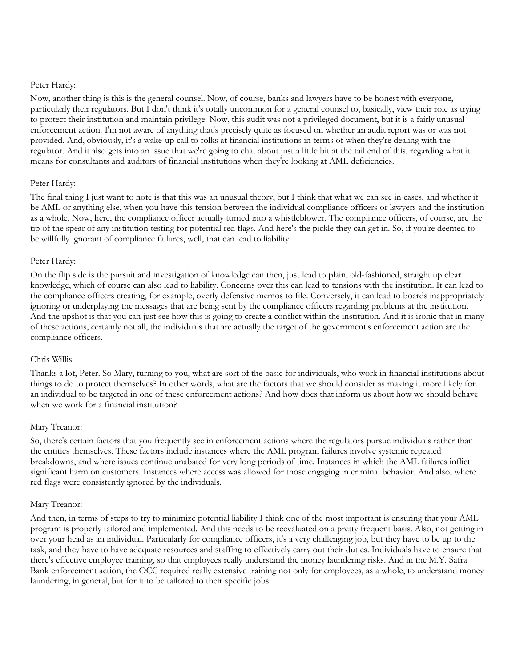#### Peter Hardy:

Now, another thing is this is the general counsel. Now, of course, banks and lawyers have to be honest with everyone, particularly their regulators. But I don't think it's totally uncommon for a general counsel to, basically, view their role as trying to protect their institution and maintain privilege. Now, this audit was not a privileged document, but it is a fairly unusual enforcement action. I'm not aware of anything that's precisely quite as focused on whether an audit report was or was not provided. And, obviously, it's a wake-up call to folks at financial institutions in terms of when they're dealing with the regulator. And it also gets into an issue that we're going to chat about just a little bit at the tail end of this, regarding what it means for consultants and auditors of financial institutions when they're looking at AML deficiencies.

## Peter Hardy:

The final thing I just want to note is that this was an unusual theory, but I think that what we can see in cases, and whether it be AML or anything else, when you have this tension between the individual compliance officers or lawyers and the institution as a whole. Now, here, the compliance officer actually turned into a whistleblower. The compliance officers, of course, are the tip of the spear of any institution testing for potential red flags. And here's the pickle they can get in. So, if you're deemed to be willfully ignorant of compliance failures, well, that can lead to liability.

#### Peter Hardy:

On the flip side is the pursuit and investigation of knowledge can then, just lead to plain, old-fashioned, straight up clear knowledge, which of course can also lead to liability. Concerns over this can lead to tensions with the institution. It can lead to the compliance officers creating, for example, overly defensive memos to file. Conversely, it can lead to boards inappropriately ignoring or underplaying the messages that are being sent by the compliance officers regarding problems at the institution. And the upshot is that you can just see how this is going to create a conflict within the institution. And it is ironic that in many of these actions, certainly not all, the individuals that are actually the target of the government's enforcement action are the compliance officers.

#### Chris Willis:

Thanks a lot, Peter. So Mary, turning to you, what are sort of the basic for individuals, who work in financial institutions about things to do to protect themselves? In other words, what are the factors that we should consider as making it more likely for an individual to be targeted in one of these enforcement actions? And how does that inform us about how we should behave when we work for a financial institution?

#### Mary Treanor:

So, there's certain factors that you frequently see in enforcement actions where the regulators pursue individuals rather than the entities themselves. These factors include instances where the AML program failures involve systemic repeated breakdowns, and where issues continue unabated for very long periods of time. Instances in which the AML failures inflict significant harm on customers. Instances where access was allowed for those engaging in criminal behavior. And also, where red flags were consistently ignored by the individuals.

#### Mary Treanor:

And then, in terms of steps to try to minimize potential liability I think one of the most important is ensuring that your AML program is properly tailored and implemented. And this needs to be reevaluated on a pretty frequent basis. Also, not getting in over your head as an individual. Particularly for compliance officers, it's a very challenging job, but they have to be up to the task, and they have to have adequate resources and staffing to effectively carry out their duties. Individuals have to ensure that there's effective employee training, so that employees really understand the money laundering risks. And in the M.Y. Safra Bank enforcement action, the OCC required really extensive training not only for employees, as a whole, to understand money laundering, in general, but for it to be tailored to their specific jobs.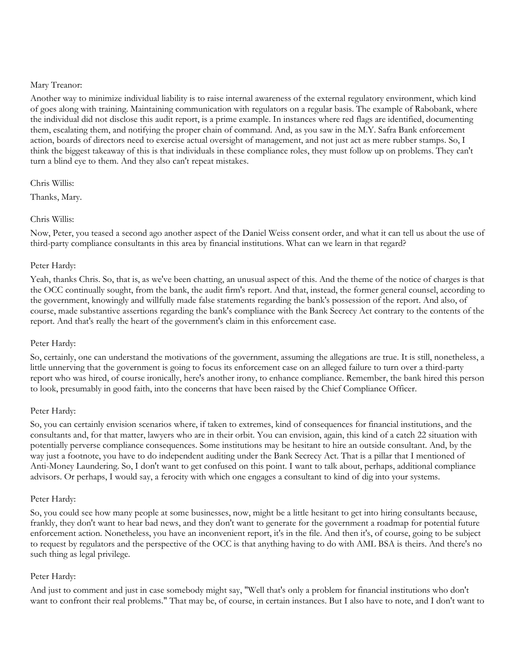#### Mary Treanor:

Another way to minimize individual liability is to raise internal awareness of the external regulatory environment, which kind of goes along with training. Maintaining communication with regulators on a regular basis. The example of Rabobank, where the individual did not disclose this audit report, is a prime example. In instances where red flags are identified, documenting them, escalating them, and notifying the proper chain of command. And, as you saw in the M.Y. Safra Bank enforcement action, boards of directors need to exercise actual oversight of management, and not just act as mere rubber stamps. So, I think the biggest takeaway of this is that individuals in these compliance roles, they must follow up on problems. They can't turn a blind eye to them. And they also can't repeat mistakes.

#### Chris Willis:

Thanks, Mary.

## Chris Willis:

Now, Peter, you teased a second ago another aspect of the Daniel Weiss consent order, and what it can tell us about the use of third-party compliance consultants in this area by financial institutions. What can we learn in that regard?

## Peter Hardy:

Yeah, thanks Chris. So, that is, as we've been chatting, an unusual aspect of this. And the theme of the notice of charges is that the OCC continually sought, from the bank, the audit firm's report. And that, instead, the former general counsel, according to the government, knowingly and willfully made false statements regarding the bank's possession of the report. And also, of course, made substantive assertions regarding the bank's compliance with the Bank Secrecy Act contrary to the contents of the report. And that's really the heart of the government's claim in this enforcement case.

## Peter Hardy:

So, certainly, one can understand the motivations of the government, assuming the allegations are true. It is still, nonetheless, a little unnerving that the government is going to focus its enforcement case on an alleged failure to turn over a third-party report who was hired, of course ironically, here's another irony, to enhance compliance. Remember, the bank hired this person to look, presumably in good faith, into the concerns that have been raised by the Chief Compliance Officer.

## Peter Hardy:

So, you can certainly envision scenarios where, if taken to extremes, kind of consequences for financial institutions, and the consultants and, for that matter, lawyers who are in their orbit. You can envision, again, this kind of a catch 22 situation with potentially perverse compliance consequences. Some institutions may be hesitant to hire an outside consultant. And, by the way just a footnote, you have to do independent auditing under the Bank Secrecy Act. That is a pillar that I mentioned of Anti-Money Laundering. So, I don't want to get confused on this point. I want to talk about, perhaps, additional compliance advisors. Or perhaps, I would say, a ferocity with which one engages a consultant to kind of dig into your systems.

## Peter Hardy:

So, you could see how many people at some businesses, now, might be a little hesitant to get into hiring consultants because, frankly, they don't want to hear bad news, and they don't want to generate for the government a roadmap for potential future enforcement action. Nonetheless, you have an inconvenient report, it's in the file. And then it's, of course, going to be subject to request by regulators and the perspective of the OCC is that anything having to do with AML BSA is theirs. And there's no such thing as legal privilege.

## Peter Hardy:

And just to comment and just in case somebody might say, "Well that's only a problem for financial institutions who don't want to confront their real problems." That may be, of course, in certain instances. But I also have to note, and I don't want to